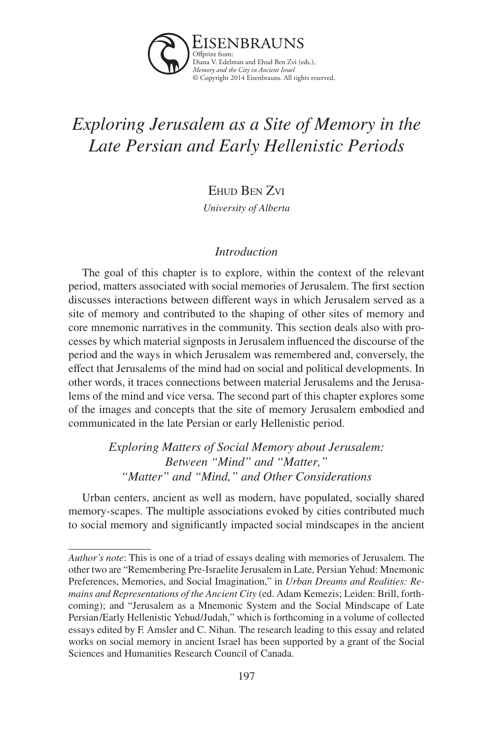

# *Exploring Jerusalem as a Site of Memory in the Late Persian and Early Hellenistic Periods*

Ehud Ben Zvi

*University of Alberta*

# *Introduction*

The goal of this chapter is to explore, within the context of the relevant period, matters associated with social memories of Jerusalem. The first section discusses interactions between different ways in which Jerusalem served as a site of memory and contributed to the shaping of other sites of memory and core mnemonic narratives in the community. This section deals also with processes by which material signposts in Jerusalem influenced the discourse of the period and the ways in which Jerusalem was remembered and, conversely, the effect that Jerusalems of the mind had on social and political developments. In other words, it traces connections between material Jerusalems and the Jerusalems of the mind and vice versa. The second part of this chapter explores some of the images and concepts that the site of memory Jerusalem embodied and communicated in the late Persian or early Hellenistic period.

> *Exploring Matters of Social Memory about Jerusalem: Between "Mind" and "Matter," "Matter" and "Mind," and Other Considerations*

Urban centers, ancient as well as modern, have populated, socially shared memory-scapes. The multiple associations evoked by cities contributed much to social memory and significantly impacted social mindscapes in the ancient

*Author's note*: This is one of a triad of essays dealing with memories of Jerusalem. The other two are "Remembering Pre-Israelite Jerusalem in Late, Persian Yehud: Mnemonic Preferences, Memories, and Social Imagination," in *Urban Dreams and Realities: Remains and Representations of the Ancient City* (ed. Adam Kemezis; Leiden: Brill, forthcoming); and "Jerusalem as a Mnemonic System and the Social Mindscape of Late Persian/Early Hellenistic Yehud/Judah," which is forthcoming in a volume of collected essays edited by F. Amsler and C. Nihan. The research leading to this essay and related works on social memory in ancient Israel has been supported by a grant of the Social Sciences and Humanities Research Council of Canada.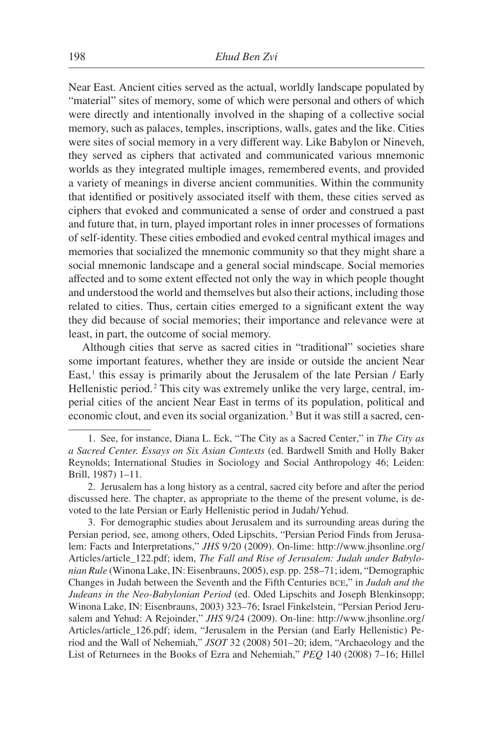Near East. Ancient cities served as the actual, worldly landscape populated by "material" sites of memory, some of which were personal and others of which were directly and intentionally involved in the shaping of a collective social memory, such as palaces, temples, inscriptions, walls, gates and the like. Cities were sites of social memory in a very different way. Like Babylon or Nineveh, they served as ciphers that activated and communicated various mnemonic worlds as they integrated multiple images, remembered events, and provided a variety of meanings in diverse ancient communities. Within the community that identified or positively associated itself with them, these cities served as ciphers that evoked and communicated a sense of order and construed a past and future that, in turn, played important roles in inner processes of formations of self-identity. These cities embodied and evoked central mythical images and memories that socialized the mnemonic community so that they might share a social mnemonic landscape and a general social mindscape. Social memories affected and to some extent effected not only the way in which people thought and understood the world and themselves but also their actions, including those related to cities. Thus, certain cities emerged to a significant extent the way they did because of social memories; their importance and relevance were at least, in part, the outcome of social memory.

Although cities that serve as sacred cities in "traditional" societies share some important features, whether they are inside or outside the ancient Near East,<sup>1</sup> this essay is primarily about the Jerusalem of the late Persian / Early Hellenistic period.<sup>2</sup> This city was extremely unlike the very large, central, imperial cities of the ancient Near East in terms of its population, political and economic clout, and even its social organization.<sup>3</sup> But it was still a sacred, cen-

<sup>1.</sup> See, for instance, Diana L. Eck, "The City as a Sacred Center," in *The City as a Sacred Center. Essays on Six Asian Contexts* (ed. Bardwell Smith and Holly Baker Reynolds; International Studies in Sociology and Social Anthropology 46; Leiden: Brill, 1987) 1–11.

<sup>2.</sup> Jerusalem has a long history as a central, sacred city before and after the period discussed here. The chapter, as appropriate to the theme of the present volume, is devoted to the late Persian or Early Hellenistic period in Judah/Yehud.

<sup>3.</sup> For demographic studies about Jerusalem and its surrounding areas during the Persian period, see, among others, Oded Lipschits, "Persian Period Finds from Jerusalem: Facts and Interpretations," *JHS* 9/20 (2009). On-lime: http://www.jhsonline.org/ Articles/article\_122.pdf; idem, *The Fall and Rise of Jerusalem: Judah under Babylonian Rule* (Winona Lake, IN: Eisenbrauns, 2005), esp. pp. 258–71; idem, "Demographic Changes in Judah between the Seventh and the Fifth Centuries bce," in *Judah and the Judeans in the Neo-Babylonian Period* (ed. Oded Lipschits and Joseph Blenkinsopp; Winona Lake, IN: Eisenbrauns, 2003) 323–76; Israel Finkelstein, "Persian Period Jerusalem and Yehud: A Rejoinder," *JHS* 9/24 (2009). On-line: http://www.jhsonline.org/ Articles/article\_126.pdf; idem, "Jerusalem in the Persian (and Early Hellenistic) Period and the Wall of Nehemiah," *JSOT* 32 (2008) 501–20; idem, "Archaeology and the List of Returnees in the Books of Ezra and Nehemiah," *PEQ* 140 (2008) 7–16; Hillel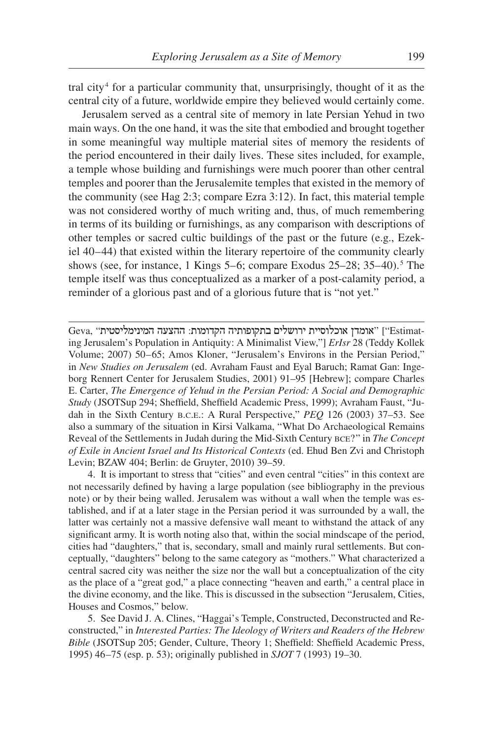tral city<sup>4</sup> for a particular community that, unsurprisingly, thought of it as the central city of a future, worldwide empire they believed would certainly come.

Jerusalem served as a central site of memory in late Persian Yehud in two main ways. On the one hand, it was the site that embodied and brought together in some meaningful way multiple material sites of memory the residents of the period encountered in their daily lives. These sites included, for example, a temple whose building and furnishings were much poorer than other central temples and poorer than the Jerusalemite temples that existed in the memory of the community (see Hag 2:3; compare Ezra 3:12). In fact, this material temple was not considered worthy of much writing and, thus, of much remembering in terms of its building or furnishings, as any comparison with descriptions of other temples or sacred cultic buildings of the past or the future (e.g., Ezekiel 40–44) that existed within the literary repertoire of the community clearly shows (see, for instance, 1 Kings  $5-6$ ; compare Exodus  $25-28$ ;  $35-40$ ).<sup>5</sup> The temple itself was thus conceptualized as a marker of a post-calamity period, a reminder of a glorious past and of a glorious future that is "not yet."

Geva, "המינימליסטית ההצעה ההצעה בתקופותיה ההצעה בתקופותיה") והתקופות היה Geva, "Estimating Jerusalem's Population in Antiquity: A Minimalist View,"] *ErIsr* 28 (Teddy Kollek Volume; 2007) 50–65; Amos Kloner, "Jerusalem's Environs in the Persian Period," in *New Studies on Jerusalem* (ed. Avraham Faust and Eyal Baruch; Ramat Gan: Ingeborg Rennert Center for Jerusalem Studies, 2001) 91–95 [Hebrew]; compare Charles E. Carter, *The Emergence of Yehud in the Persian Period: A Social and Demographic Study* (JSOTSup 294; Sheffield, Sheffield Academic Press, 1999); Avraham Faust, "Judah in the Sixth Century b.c.e.: A Rural Perspective," *PEQ* 126 (2003) 37–53. See also a summary of the situation in Kirsi Valkama, "What Do Archaeological Remains Reveal of the Settlements in Judah during the Mid-Sixth Century bce?" in *The Concept of Exile in Ancient Israel and Its Historical Contexts* (ed. Ehud Ben Zvi and Christoph Levin; BZAW 404; Berlin: de Gruyter, 2010) 39–59.

4. It is important to stress that "cities" and even central "cities" in this context are not necessarily defined by having a large population (see bibliography in the previous note) or by their being walled. Jerusalem was without a wall when the temple was established, and if at a later stage in the Persian period it was surrounded by a wall, the latter was certainly not a massive defensive wall meant to withstand the attack of any significant army. It is worth noting also that, within the social mindscape of the period, cities had "daughters," that is, secondary, small and mainly rural settlements. But conceptually, "daughters" belong to the same category as "mothers." What characterized a central sacred city was neither the size nor the wall but a conceptualization of the city as the place of a "great god," a place connecting "heaven and earth," a central place in the divine economy, and the like. This is discussed in the subsection "Jerusalem, Cities, Houses and Cosmos," below.

5. See David J. A. Clines, "Haggai's Temple, Constructed, Deconstructed and Reconstructed," in *Interested Parties: The Ideology of Writers and Readers of the Hebrew Bible* (JSOTSup 205; Gender, Culture, Theory 1; Sheffield: Sheffield Academic Press, 1995) 46–75 (esp. p. 53); originally published in *SJOT* 7 (1993) 19–30.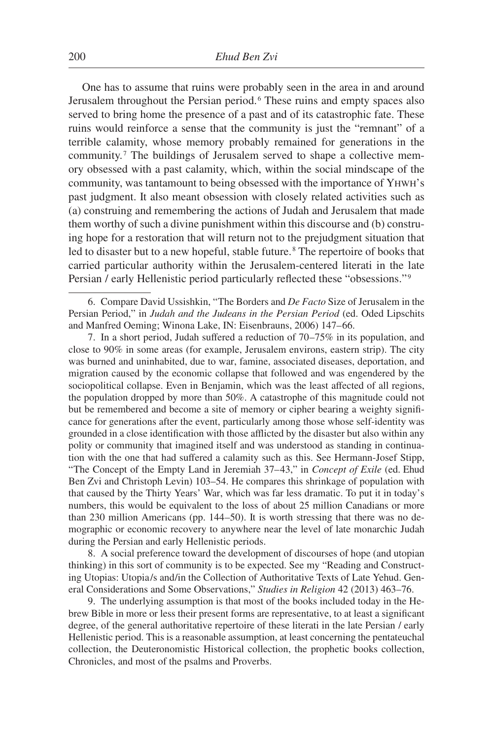One has to assume that ruins were probably seen in the area in and around Jerusalem throughout the Persian period.<sup>6</sup> These ruins and empty spaces also served to bring home the presence of a past and of its catastrophic fate. These ruins would reinforce a sense that the community is just the "remnant" of a terrible calamity, whose memory probably remained for generations in the community.7 The buildings of Jerusalem served to shape a collective memory obsessed with a past calamity, which, within the social mindscape of the community, was tantamount to being obsessed with the importance of Yhwh's past judgment. It also meant obsession with closely related activities such as (a) construing and remembering the actions of Judah and Jerusalem that made them worthy of such a divine punishment within this discourse and (b) construing hope for a restoration that will return not to the prejudgment situation that led to disaster but to a new hopeful, stable future.<sup>8</sup> The repertoire of books that carried particular authority within the Jerusalem-centered literati in the late Persian / early Hellenistic period particularly reflected these "obsessions."9

6. Compare David Ussishkin, "The Borders and *De Facto* Size of Jerusalem in the Persian Period," in *Judah and the Judeans in the Persian Period* (ed. Oded Lipschits and Manfred Oeming; Winona Lake, IN: Eisenbrauns, 2006) 147–66.

7. In a short period, Judah suffered a reduction of 70–75% in its population, and close to 90% in some areas (for example, Jerusalem environs, eastern strip). The city was burned and uninhabited, due to war, famine, associated diseases, deportation, and migration caused by the economic collapse that followed and was engendered by the sociopolitical collapse. Even in Benjamin, which was the least affected of all regions, the population dropped by more than 50%. A catastrophe of this magnitude could not but be remembered and become a site of memory or cipher bearing a weighty significance for generations after the event, particularly among those whose self-identity was grounded in a close identification with those afflicted by the disaster but also within any polity or community that imagined itself and was understood as standing in continuation with the one that had suffered a calamity such as this. See Hermann-Josef Stipp, "The Concept of the Empty Land in Jeremiah 37–43," in *Concept of Exile* (ed. Ehud Ben Zvi and Christoph Levin) 103–54. He compares this shrinkage of population with that caused by the Thirty Years' War, which was far less dramatic. To put it in today's numbers, this would be equivalent to the loss of about 25 million Canadians or more than 230 million Americans (pp. 144–50). It is worth stressing that there was no demographic or economic recovery to anywhere near the level of late monarchic Judah during the Persian and early Hellenistic periods.

8. A social preference toward the development of discourses of hope (and utopian thinking) in this sort of community is to be expected. See my "Reading and Constructing Utopias: Utopia/s and/in the Collection of Authoritative Texts of Late Yehud. General Considerations and Some Observations," *Studies in Religion* 42 (2013) 463–76.

9. The underlying assumption is that most of the books included today in the Hebrew Bible in more or less their present forms are representative, to at least a significant degree, of the general authoritative repertoire of these literati in the late Persian / early Hellenistic period. This is a reasonable assumption, at least concerning the pentateuchal collection, the Deuteronomistic Historical collection, the prophetic books collection, Chronicles, and most of the psalms and Proverbs.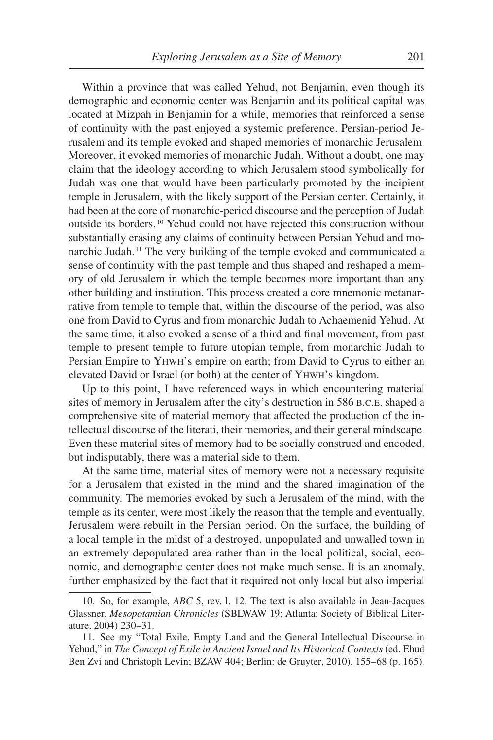Within a province that was called Yehud, not Benjamin, even though its demographic and economic center was Benjamin and its political capital was located at Mizpah in Benjamin for a while, memories that reinforced a sense of continuity with the past enjoyed a systemic preference. Persian-period Jerusalem and its temple evoked and shaped memories of monarchic Jerusalem. Moreover, it evoked memories of monarchic Judah. Without a doubt, one may claim that the ideology according to which Jerusalem stood symbolically for Judah was one that would have been particularly promoted by the incipient temple in Jerusalem, with the likely support of the Persian center. Certainly, it had been at the core of monarchic-period discourse and the perception of Judah outside its borders. 10 Yehud could not have rejected this construction without substantially erasing any claims of continuity between Persian Yehud and monarchic Judah.<sup>11</sup> The very building of the temple evoked and communicated a sense of continuity with the past temple and thus shaped and reshaped a memory of old Jerusalem in which the temple becomes more important than any other building and institution. This process created a core mnemonic metanarrative from temple to temple that, within the discourse of the period, was also one from David to Cyrus and from monarchic Judah to Achaemenid Yehud. At the same time, it also evoked a sense of a third and final movement, from past temple to present temple to future utopian temple, from monarchic Judah to Persian Empire to Yhwh's empire on earth; from David to Cyrus to either an elevated David or Israel (or both) at the center of Yhwh's kingdom.

Up to this point, I have referenced ways in which encountering material sites of memory in Jerusalem after the city's destruction in 586 b.c.e. shaped a comprehensive site of material memory that affected the production of the intellectual discourse of the literati, their memories, and their general mindscape. Even these material sites of memory had to be socially construed and encoded, but indisputably, there was a material side to them.

At the same time, material sites of memory were not a necessary requisite for a Jerusalem that existed in the mind and the shared imagination of the community. The memories evoked by such a Jerusalem of the mind, with the temple as its center, were most likely the reason that the temple and eventually, Jerusalem were rebuilt in the Persian period. On the surface, the building of a local temple in the midst of a destroyed, unpopulated and unwalled town in an extremely depopulated area rather than in the local political, social, economic, and demographic center does not make much sense. It is an anomaly, further emphasized by the fact that it required not only local but also imperial

<sup>10.</sup> So, for example, *ABC* 5, rev. l. 12. The text is also available in Jean-Jacques Glassner, *Mesopotamian Chronicles* (SBLWAW 19; Atlanta: Society of Biblical Literature, 2004) 230–31.

<sup>11.</sup> See my "Total Exile, Empty Land and the General Intellectual Discourse in Yehud," in *The Concept of Exile in Ancient Israel and Its Historical Contexts* (ed. Ehud Ben Zvi and Christoph Levin; BZAW 404; Berlin: de Gruyter, 2010), 155–68 (p. 165).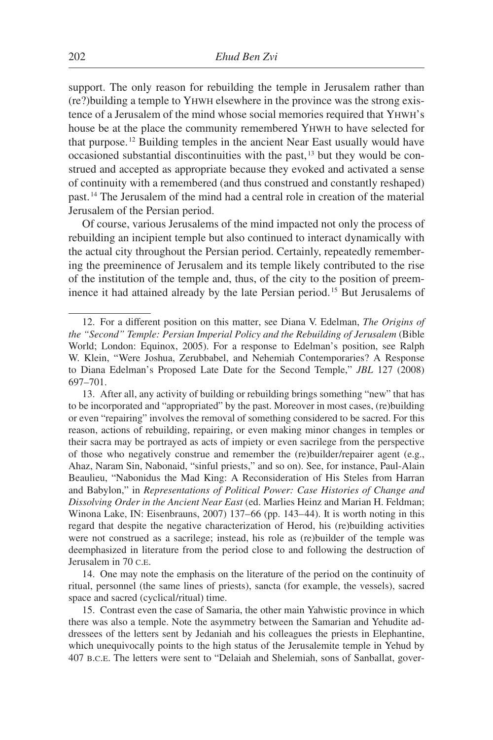support. The only reason for rebuilding the temple in Jerusalem rather than (re?)building a temple to Yhwh elsewhere in the province was the strong existence of a Jerusalem of the mind whose social memories required that Yhwh's house be at the place the community remembered Yhwh to have selected for that purpose. 12 Building temples in the ancient Near East usually would have occasioned substantial discontinuities with the past, $13$  but they would be construed and accepted as appropriate because they evoked and activated a sense of continuity with a remembered (and thus construed and constantly reshaped) past.14 The Jerusalem of the mind had a central role in creation of the material Jerusalem of the Persian period.

Of course, various Jerusalems of the mind impacted not only the process of rebuilding an incipient temple but also continued to interact dynamically with the actual city throughout the Persian period. Certainly, repeatedly remembering the preeminence of Jerusalem and its temple likely contributed to the rise of the institution of the temple and, thus, of the city to the position of preeminence it had attained already by the late Persian period. 15 But Jerusalems of

13. After all, any activity of building or rebuilding brings something "new" that has to be incorporated and "appropriated" by the past. Moreover in most cases, (re)building or even "repairing" involves the removal of something considered to be sacred. For this reason, actions of rebuilding, repairing, or even making minor changes in temples or their sacra may be portrayed as acts of impiety or even sacrilege from the perspective of those who negatively construe and remember the (re)builder/repairer agent (e.g., Ahaz, Naram Sin, Nabonaid, "sinful priests," and so on). See, for instance, Paul-Alain Beaulieu, "Nabonidus the Mad King: A Reconsideration of His Steles from Harran and Babylon," in *Representations of Political Power: Case Histories of Change and Dissolving Order in the Ancient Near East* (ed. Marlies Heinz and Marian H. Feldman; Winona Lake, IN: Eisenbrauns, 2007) 137–66 (pp. 143–44). It is worth noting in this regard that despite the negative characterization of Herod, his (re)building activities were not construed as a sacrilege; instead, his role as (re)builder of the temple was deemphasized in literature from the period close to and following the destruction of Jerusalem in 70 c.e.

14. One may note the emphasis on the literature of the period on the continuity of ritual, personnel (the same lines of priests), sancta (for example, the vessels), sacred space and sacred (cyclical/ritual) time.

15. Contrast even the case of Samaria, the other main Yahwistic province in which there was also a temple. Note the asymmetry between the Samarian and Yehudite addressees of the letters sent by Jedaniah and his colleagues the priests in Elephantine, which unequivocally points to the high status of the Jerusalemite temple in Yehud by 407 b.c.e. The letters were sent to "Delaiah and Shelemiah, sons of Sanballat, gover-

<sup>12.</sup> For a different position on this matter, see Diana V. Edelman, *The Origins of the "Second" Temple: Persian Imperial Policy and the Rebuilding of Jerusalem* (Bible World; London: Equinox, 2005). For a response to Edelman's position, see Ralph W. Klein, "Were Joshua, Zerubbabel, and Nehemiah Contemporaries? A Response to Diana Edelman's Proposed Late Date for the Second Temple," *JBL* 127 (2008) 697–701.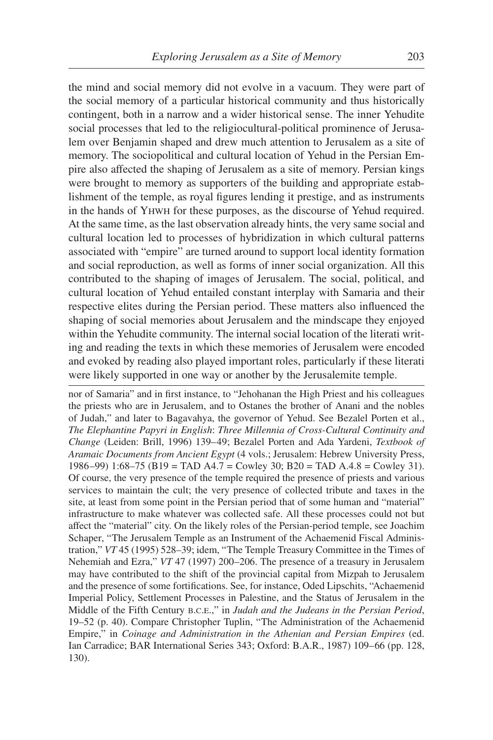the mind and social memory did not evolve in a vacuum. They were part of the social memory of a particular historical community and thus historically contingent, both in a narrow and a wider historical sense. The inner Yehudite social processes that led to the religiocultural-political prominence of Jerusalem over Benjamin shaped and drew much attention to Jerusalem as a site of memory. The sociopolitical and cultural location of Yehud in the Persian Empire also affected the shaping of Jerusalem as a site of memory. Persian kings were brought to memory as supporters of the building and appropriate establishment of the temple, as royal figures lending it prestige, and as instruments in the hands of Yhwh for these purposes, as the discourse of Yehud required. At the same time, as the last observation already hints, the very same social and cultural location led to processes of hybridization in which cultural patterns associated with "empire" are turned around to support local identity formation and social reproduction, as well as forms of inner social organization. All this contributed to the shaping of images of Jerusalem. The social, political, and cultural location of Yehud entailed constant interplay with Samaria and their respective elites during the Persian period. These matters also influenced the shaping of social memories about Jerusalem and the mindscape they enjoyed within the Yehudite community. The internal social location of the literati writing and reading the texts in which these memories of Jerusalem were encoded and evoked by reading also played important roles, particularly if these literati were likely supported in one way or another by the Jerusalemite temple.

nor of Samaria" and in first instance, to "Jehohanan the High Priest and his colleagues the priests who are in Jerusalem, and to Ostanes the brother of Anani and the nobles of Judah," and later to Bagavahya, the governor of Yehud. See Bezalel Porten et al., *The Elephantine Papyri in English*: *Three Millennia of Cross-Cultural Continuity and Change* (Leiden: Brill, 1996) 139–49; Bezalel Porten and Ada Yardeni, *Textbook of Aramaic Documents from Ancient Egypt* (4 vols.; Jerusalem: Hebrew University Press, 1986–99) 1:68–75 (B19 = TAD A4.7 = Cowley 30; B20 = TAD A.4.8 = Cowley 31). Of course, the very presence of the temple required the presence of priests and various services to maintain the cult; the very presence of collected tribute and taxes in the site, at least from some point in the Persian period that of some human and "material" infrastructure to make whatever was collected safe. All these processes could not but affect the "material" city. On the likely roles of the Persian-period temple, see Joachim Schaper, "The Jerusalem Temple as an Instrument of the Achaemenid Fiscal Administration," *VT* 45 (1995) 528–39; idem, "The Temple Treasury Committee in the Times of Nehemiah and Ezra," *VT* 47 (1997) 200–206. The presence of a treasury in Jerusalem may have contributed to the shift of the provincial capital from Mizpah to Jerusalem and the presence of some fortifications. See, for instance, Oded Lipschits, "Achaemenid Imperial Policy, Settlement Processes in Palestine, and the Status of Jerusalem in the Middle of the Fifth Century b.c.e.," in *Judah and the Judeans in the Persian Period*, 19–52 (p. 40). Compare Christopher Tuplin, "The Administration of the Achaemenid Empire," in *Coinage and Administration in the Athenian and Persian Empires* (ed. Ian Carradice; BAR International Series 343; Oxford: B.A.R., 1987) 109–66 (pp. 128, 130).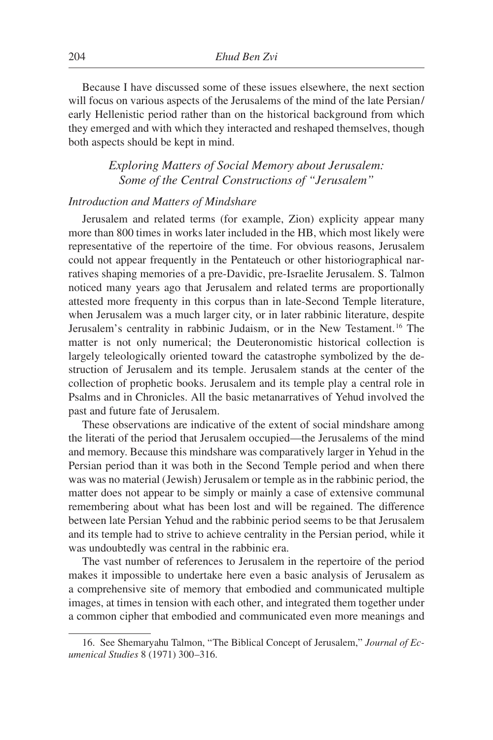Because I have discussed some of these issues elsewhere, the next section will focus on various aspects of the Jerusalems of the mind of the late Persian/ early Hellenistic period rather than on the historical background from which they emerged and with which they interacted and reshaped themselves, though both aspects should be kept in mind.

> *Exploring Matters of Social Memory about Jerusalem: Some of the Central Constructions of "Jerusalem"*

#### *Introduction and Matters of Mindshare*

Jerusalem and related terms (for example, Zion) explicity appear many more than 800 times in works later included in the HB, which most likely were representative of the repertoire of the time. For obvious reasons, Jerusalem could not appear frequently in the Pentateuch or other historiographical narratives shaping memories of a pre-Davidic, pre-Israelite Jerusalem. S. Talmon noticed many years ago that Jerusalem and related terms are proportionally attested more frequenty in this corpus than in late-Second Temple literature, when Jerusalem was a much larger city, or in later rabbinic literature, despite Jerusalem's centrality in rabbinic Judaism, or in the New Testament.<sup>16</sup> The matter is not only numerical; the Deuteronomistic historical collection is largely teleologically oriented toward the catastrophe symbolized by the destruction of Jerusalem and its temple. Jerusalem stands at the center of the collection of prophetic books. Jerusalem and its temple play a central role in Psalms and in Chronicles. All the basic metanarratives of Yehud involved the past and future fate of Jerusalem.

These observations are indicative of the extent of social mindshare among the literati of the period that Jerusalem occupied—the Jerusalems of the mind and memory. Because this mindshare was comparatively larger in Yehud in the Persian period than it was both in the Second Temple period and when there was was no material (Jewish) Jerusalem or temple as in the rabbinic period, the matter does not appear to be simply or mainly a case of extensive communal remembering about what has been lost and will be regained. The difference between late Persian Yehud and the rabbinic period seems to be that Jerusalem and its temple had to strive to achieve centrality in the Persian period, while it was undoubtedly was central in the rabbinic era.

The vast number of references to Jerusalem in the repertoire of the period makes it impossible to undertake here even a basic analysis of Jerusalem as a comprehensive site of memory that embodied and communicated multiple images, at times in tension with each other, and integrated them together under a common cipher that embodied and communicated even more meanings and

<sup>16.</sup> See Shemaryahu Talmon, "The Biblical Concept of Jerusalem," *Journal of Ecumenical Studies* 8 (1971) 300–316.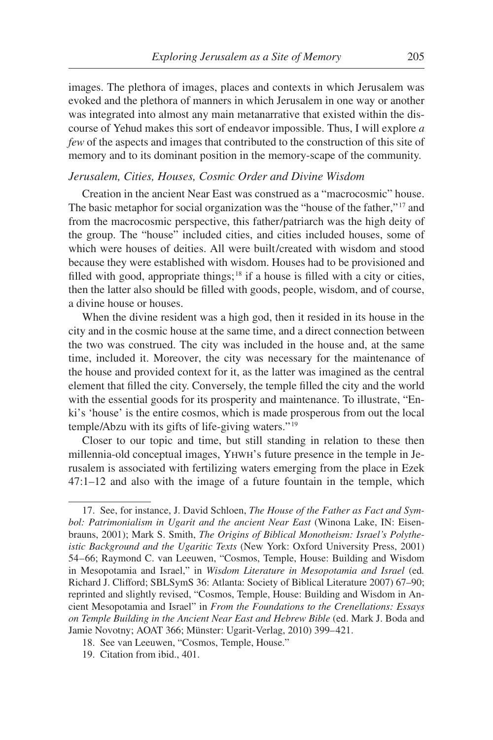images. The plethora of images, places and contexts in which Jerusalem was evoked and the plethora of manners in which Jerusalem in one way or another was integrated into almost any main metanarrative that existed within the discourse of Yehud makes this sort of endeavor impossible. Thus, I will explore *a few* of the aspects and images that contributed to the construction of this site of memory and to its dominant position in the memory-scape of the community.

## *Jerusalem, Cities, Houses, Cosmic Order and Divine Wisdom*

Creation in the ancient Near East was construed as a "macrocosmic" house. The basic metaphor for social organization was the "house of the father,"<sup>17</sup> and from the macrocosmic perspective, this father/patriarch was the high deity of the group. The "house" included cities, and cities included houses, some of which were houses of deities. All were built/created with wisdom and stood because they were established with wisdom. Houses had to be provisioned and filled with good, appropriate things;<sup>18</sup> if a house is filled with a city or cities, then the latter also should be filled with goods, people, wisdom, and of course, a divine house or houses.

When the divine resident was a high god, then it resided in its house in the city and in the cosmic house at the same time, and a direct connection between the two was construed. The city was included in the house and, at the same time, included it. Moreover, the city was necessary for the maintenance of the house and provided context for it, as the latter was imagined as the central element that filled the city. Conversely, the temple filled the city and the world with the essential goods for its prosperity and maintenance. To illustrate, "Enki's 'house' is the entire cosmos, which is made prosperous from out the local temple/Abzu with its gifts of life-giving waters."19

Closer to our topic and time, but still standing in relation to these then millennia-old conceptual images, Yhwh's future presence in the temple in Jerusalem is associated with fertilizing waters emerging from the place in Ezek 47:1–12 and also with the image of a future fountain in the temple, which

<sup>17.</sup> See, for instance, J. David Schloen, *The House of the Father as Fact and Symbol: Patrimonialism in Ugarit and the ancient Near East* (Winona Lake, IN: Eisenbrauns, 2001); Mark S. Smith, *The Origins of Biblical Monotheism: Israel's Polytheistic Background and the Ugaritic Texts* (New York: Oxford University Press, 2001) 54–66; Raymond C. van Leeuwen, "Cosmos, Temple, House: Building and Wisdom in Mesopotamia and Israel," in *Wisdom Literature in Mesopotamia and Israel* (ed*.* Richard J. Clifford; SBLSymS 36: Atlanta: Society of Biblical Literature 2007) 67–90; reprinted and slightly revised, "Cosmos, Temple, House: Building and Wisdom in Ancient Mesopotamia and Israel" in *From the Foundations to the Crenellations: Essays on Temple Building in the Ancient Near East and Hebrew Bible* (ed. Mark J. Boda and Jamie Novotny; AOAT 366; Münster: Ugarit-Verlag, 2010) 399–421.

<sup>18.</sup> See van Leeuwen, "Cosmos, Temple, House."

<sup>19.</sup> Citation from ibid., 401.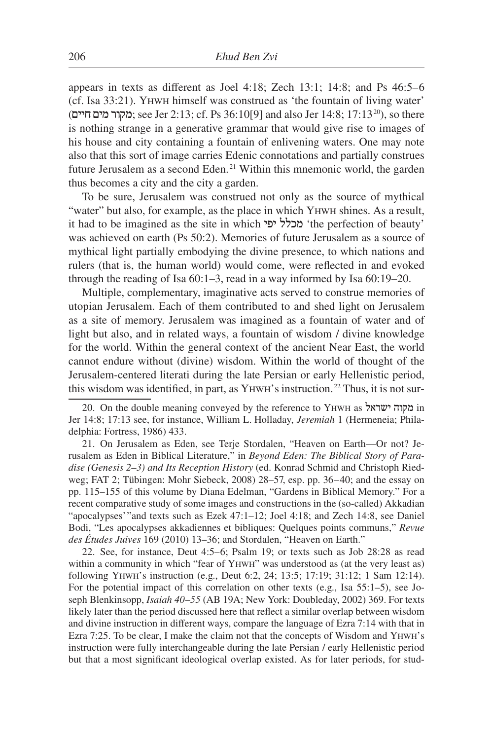appears in texts as different as Joel 4:18; Zech 13:1; 14:8; and Ps 46:5–6 (cf. Isa 33:21). Yhwh himself was construed as 'the fountain of living water' (מקור מים חיים); see Jer 2:13; cf. Ps 36:10[9] and also Jer 14:8; 17:13<sup>20</sup>), so there is nothing strange in a generative grammar that would give rise to images of his house and city containing a fountain of enlivening waters. One may note also that this sort of image carries Edenic connotations and partially construes future Jerusalem as a second Eden.<sup>21</sup> Within this mnemonic world, the garden thus becomes a city and the city a garden.

To be sure, Jerusalem was construed not only as the source of mythical "water" but also, for example, as the place in which YHWH shines. As a result, it had to be imagined as the site in which מכלל יפי the perfection of beauty' was achieved on earth (Ps 50:2). Memories of future Jerusalem as a source of mythical light partially embodying the divine presence, to which nations and rulers (that is, the human world) would come, were reflected in and evoked through the reading of Isa 60:1–3, read in a way informed by Isa 60:19–20.

Multiple, complementary, imaginative acts served to construe memories of utopian Jerusalem. Each of them contributed to and shed light on Jerusalem as a site of memory. Jerusalem was imagined as a fountain of water and of light but also, and in related ways, a fountain of wisdom / divine knowledge for the world. Within the general context of the ancient Near East, the world cannot endure without (divine) wisdom. Within the world of thought of the Jerusalem-centered literati during the late Persian or early Hellenistic period, this wisdom was identified, in part, as YHWH's instruction.<sup>22</sup> Thus, it is not sur-

21. On Jerusalem as Eden, see Terje Stordalen, "Heaven on Earth—Or not? Jerusalem as Eden in Biblical Literature," in *Beyond Eden: The Biblical Story of Paradise (Genesis 2–3) and Its Reception History* (ed. Konrad Schmid and Christoph Riedweg; FAT 2; Tübingen: Mohr Siebeck, 2008) 28–57, esp. pp. 36–40; and the essay on pp. 115–155 of this volume by Diana Edelman, "Gardens in Biblical Memory." For a recent comparative study of some images and constructions in the (so-called) Akkadian "apocalypses'"and texts such as Ezek 47:1–12; Joel 4:18; and Zech 14:8, see Daniel Bodi, "Les apocalypses akkadiennes et bibliques: Quelques points communs," *Revue des Études Juives* 169 (2010) 13–36; and Stordalen, "Heaven on Earth."

22. See, for instance, Deut 4:5–6; Psalm 19; or texts such as Job 28:28 as read within a community in which "fear of YHWH" was understood as (at the very least as) following Yhwh's instruction (e.g., Deut 6:2, 24; 13:5; 17:19; 31:12; 1 Sam 12:14). For the potential impact of this correlation on other texts (e.g., Isa 55:1–5), see Joseph Blenkinsopp, *Isaiah 40–55* (AB 19A; New York: Doubleday, 2002) 369. For texts likely later than the period discussed here that reflect a similar overlap between wisdom and divine instruction in different ways, compare the language of Ezra 7:14 with that in Ezra 7:25. To be clear, I make the claim not that the concepts of Wisdom and Yhwh's instruction were fully interchangeable during the late Persian / early Hellenistic period but that a most significant ideological overlap existed. As for later periods, for stud-

<sup>20.</sup> On the double meaning conveyed by the reference to Yhwh as ישראל מקוה in Jer 14:8; 17:13 see, for instance, William L. Holladay, *Jeremiah* 1 (Hermeneia; Philadelphia: Fortress, 1986) 433.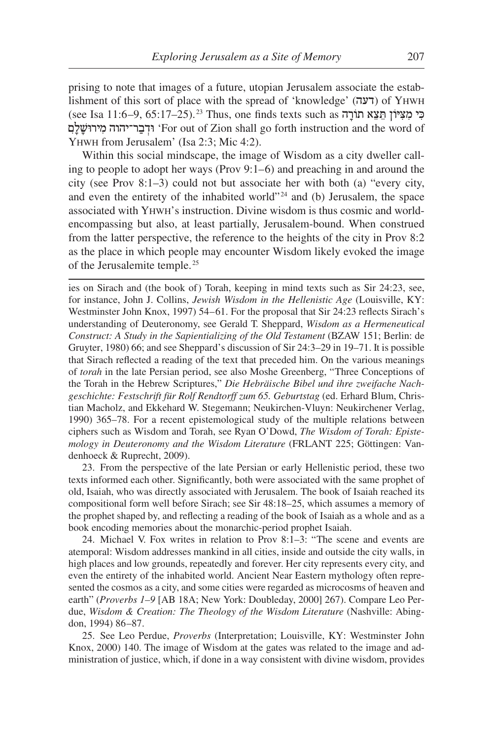prising to note that images of a future, utopian Jerusalem associate the establishment of this sort of place with the spread of 'knowledge' (דעה) of YHWH  $\alpha$ isee Isa 11:6–9, 65:17–25).<sup>23</sup> Thus, one finds texts such as כי מציין הצא תורה יִדְבָר־יהוה מִירוּשַׁלַם (For out of Zion shall go forth instruction and the word of Yhwh from Jerusalem' (Isa 2:3; Mic 4:2).

Within this social mindscape, the image of Wisdom as a city dweller calling to people to adopt her ways (Prov 9:1–6) and preaching in and around the city (see Prov 8:1–3) could not but associate her with both (a) "every city, and even the entirety of the inhabited world"<sup>24</sup> and (b) Jerusalem, the space associated with Yhwh's instruction. Divine wisdom is thus cosmic and worldencompassing but also, at least partially, Jerusalem-bound. When construed from the latter perspective, the reference to the heights of the city in Prov 8:2 as the place in which people may encounter Wisdom likely evoked the image of the Jerusalemite temple.25

ies on Sirach and (the book of) Torah, keeping in mind texts such as Sir 24:23, see, for instance, John J. Collins, *Jewish Wisdom in the Hellenistic Age* (Louisville, KY: Westminster John Knox, 1997) 54–61. For the proposal that Sir 24:23 reflects Sirach's understanding of Deuteronomy, see Gerald T. Sheppard, *Wisdom as a Hermeneutical Construct: A Study in the Sapientializing of the Old Testament* (BZAW 151; Berlin: de Gruyter, 1980) 66; and see Sheppard's discussion of Sir 24:3–29 in 19–71. It is possible that Sirach reflected a reading of the text that preceded him. On the various meanings of *torah* in the late Persian period, see also Moshe Greenberg, "Three Conceptions of the Torah in the Hebrew Scriptures," *Die Hebräische Bibel und ihre zweifache Nachgeschichte: Festschrift für Rolf Rendtorff zum 65. Geburtstag* (ed. Erhard Blum, Christian Macholz, and Ekkehard W. Stegemann; Neukirchen-Vluyn: Neukirchener Verlag, 1990) 365–78. For a recent epistemological study of the multiple relations between ciphers such as Wisdom and Torah, see Ryan O'Dowd, *The Wisdom of Torah: Epistemology in Deuteronomy and the Wisdom Literature* (FRLANT 225; Göttingen: Vandenhoeck & Ruprecht, 2009).

23. From the perspective of the late Persian or early Hellenistic period, these two texts informed each other. Significantly, both were associated with the same prophet of old, Isaiah, who was directly associated with Jerusalem. The book of Isaiah reached its compositional form well before Sirach; see Sir 48:18–25, which assumes a memory of the prophet shaped by, and reflecting a reading of the book of Isaiah as a whole and as a book encoding memories about the monarchic-period prophet Isaiah.

24. Michael V. Fox writes in relation to Prov 8:1–3: "The scene and events are atemporal: Wisdom addresses mankind in all cities, inside and outside the city walls, in high places and low grounds, repeatedly and forever. Her city represents every city, and even the entirety of the inhabited world. Ancient Near Eastern mythology often represented the cosmos as a city, and some cities were regarded as microcosms of heaven and earth" (*Proverbs 1–9* [AB 18A; New York: Doubleday, 2000] 267). Compare Leo Perdue, *Wisdom & Creation: The Theology of the Wisdom Literature* (Nashville: Abingdon, 1994) 86–87.

25. See Leo Perdue, *Proverbs* (Interpretation; Louisville, KY: Westminster John Knox, 2000) 140. The image of Wisdom at the gates was related to the image and administration of justice, which, if done in a way consistent with divine wisdom, provides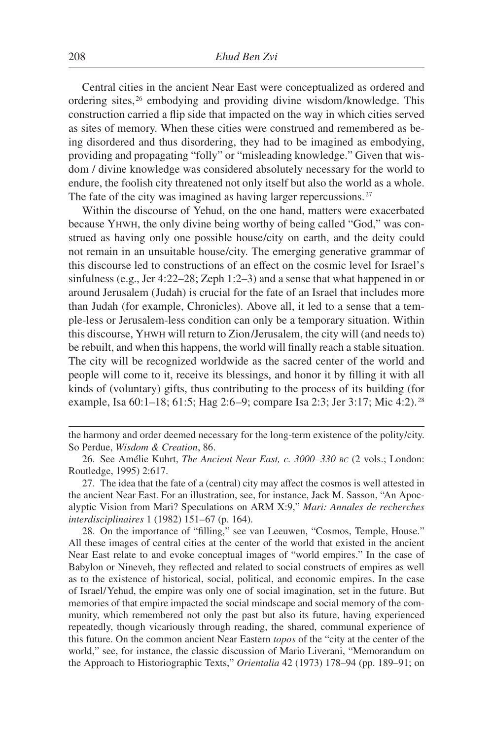Central cities in the ancient Near East were conceptualized as ordered and ordering sites, 26 embodying and providing divine wisdom/knowledge. This construction carried a flip side that impacted on the way in which cities served as sites of memory. When these cities were construed and remembered as being disordered and thus disordering, they had to be imagined as embodying, providing and propagating "folly" or "misleading knowledge." Given that wisdom / divine knowledge was considered absolutely necessary for the world to endure, the foolish city threatened not only itself but also the world as a whole. The fate of the city was imagined as having larger repercussions. $27$ 

Within the discourse of Yehud, on the one hand, matters were exacerbated because Yhwh, the only divine being worthy of being called "God," was construed as having only one possible house/city on earth, and the deity could not remain in an unsuitable house/city. The emerging generative grammar of this discourse led to constructions of an effect on the cosmic level for Israel's sinfulness (e.g., Jer 4:22–28; Zeph 1:2–3) and a sense that what happened in or around Jerusalem (Judah) is crucial for the fate of an Israel that includes more than Judah (for example, Chronicles). Above all, it led to a sense that a temple-less or Jerusalem-less condition can only be a temporary situation. Within this discourse, Yhwh will return to Zion/Jerusalem, the city will (and needs to) be rebuilt, and when this happens, the world will finally reach a stable situation. The city will be recognized worldwide as the sacred center of the world and people will come to it, receive its blessings, and honor it by filling it with all kinds of (voluntary) gifts, thus contributing to the process of its building (for example, Isa 60:1–18; 61:5; Hag 2:6–9; compare Isa 2:3; Jer 3:17; Mic 4:2).<sup>28</sup>

28. On the importance of "filling," see van Leeuwen, "Cosmos, Temple, House." All these images of central cities at the center of the world that existed in the ancient Near East relate to and evoke conceptual images of "world empires." In the case of Babylon or Nineveh, they reflected and related to social constructs of empires as well as to the existence of historical, social, political, and economic empires. In the case of Israel/Yehud, the empire was only one of social imagination, set in the future. But memories of that empire impacted the social mindscape and social memory of the community, which remembered not only the past but also its future, having experienced repeatedly, though vicariously through reading, the shared, communal experience of this future. On the common ancient Near Eastern *topos* of the "city at the center of the world," see, for instance, the classic discussion of Mario Liverani, "Memorandum on the Approach to Historiographic Texts," *Orientalia* 42 (1973) 178–94 (pp. 189–91; on

the harmony and order deemed necessary for the long-term existence of the polity/city. So Perdue, *Wisdom & Creation*, 86.

<sup>26.</sup> See Amélie Kuhrt, *The Ancient Near East, c. 3000–330 bc* (2 vols.; London: Routledge, 1995) 2:617.

<sup>27.</sup> The idea that the fate of a (central) city may affect the cosmos is well attested in the ancient Near East. For an illustration, see, for instance, Jack M. Sasson, "An Apocalyptic Vision from Mari? Speculations on ARM X:9," *Mari: Annales de recherches interdisciplinaires* 1 (1982) 151–67 (p. 164).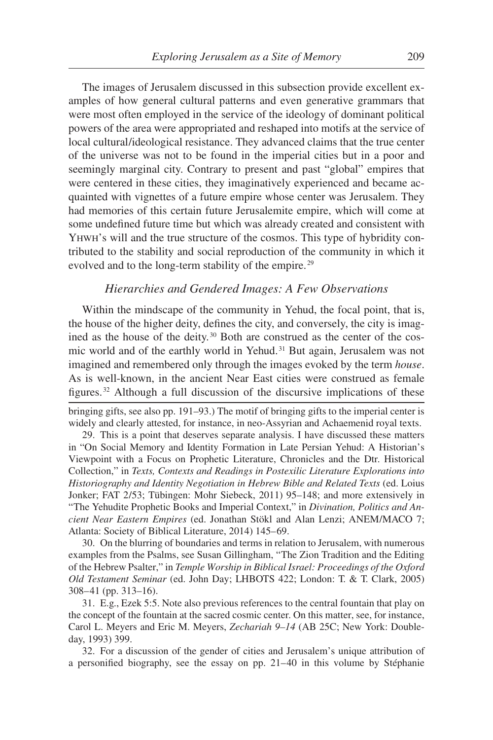The images of Jerusalem discussed in this subsection provide excellent examples of how general cultural patterns and even generative grammars that were most often employed in the service of the ideology of dominant political powers of the area were appropriated and reshaped into motifs at the service of local cultural/ideological resistance. They advanced claims that the true center of the universe was not to be found in the imperial cities but in a poor and seemingly marginal city. Contrary to present and past "global" empires that were centered in these cities, they imaginatively experienced and became acquainted with vignettes of a future empire whose center was Jerusalem. They had memories of this certain future Jerusalemite empire, which will come at some undefined future time but which was already created and consistent with Yhwh's will and the true structure of the cosmos. This type of hybridity contributed to the stability and social reproduction of the community in which it evolved and to the long-term stability of the empire.<sup>29</sup>

## *Hierarchies and Gendered Images: A Few Observations*

Within the mindscape of the community in Yehud, the focal point, that is, the house of the higher deity, defines the city, and conversely, the city is imagined as the house of the deity.<sup>30</sup> Both are construed as the center of the cosmic world and of the earthly world in Yehud.<sup>31</sup> But again, Jerusalem was not imagined and remembered only through the images evoked by the term *house*. As is well-known, in the ancient Near East cities were construed as female figures.32 Although a full discussion of the discursive implications of these

bringing gifts, see also pp. 191–93.) The motif of bringing gifts to the imperial center is widely and clearly attested, for instance, in neo-Assyrian and Achaemenid royal texts.

29. This is a point that deserves separate analysis. I have discussed these matters in "On Social Memory and Identity Formation in Late Persian Yehud: A Historian's Viewpoint with a Focus on Prophetic Literature, Chronicles and the Dtr. Historical Collection," in *Texts, Contexts and Readings in Postexilic Literature Explorations into Historiography and Identity Negotiation in Hebrew Bible and Related Texts* (ed. Loius Jonker; FAT 2/53; Tübingen: Mohr Siebeck, 2011) 95–148; and more extensively in "The Yehudite Prophetic Books and Imperial Context," in *Divination, Politics and Ancient Near Eastern Empires* (ed. Jonathan Stökl and Alan Lenzi; ANEM/MACO 7; Atlanta: Society of Biblical Literature, 2014) 145–69.

30. On the blurring of boundaries and terms in relation to Jerusalem, with numerous examples from the Psalms, see Susan Gillingham, "The Zion Tradition and the Editing of the Hebrew Psalter," in *Temple Worship in Biblical Israel: Proceedings of the Oxford Old Testament Seminar* (ed. John Day; LHBOTS 422; London: T. & T. Clark, 2005) 308–41 (pp. 313–16).

31. E.g., Ezek 5:5. Note also previous references to the central fountain that play on the concept of the fountain at the sacred cosmic center. On this matter, see, for instance, Carol L. Meyers and Eric M. Meyers, *Zechariah 9–14* (AB 25C; New York: Doubleday, 1993) 399.

32. For a discussion of the gender of cities and Jerusalem's unique attribution of a personified biography, see the essay on pp. 21–40 in this volume by Stéphanie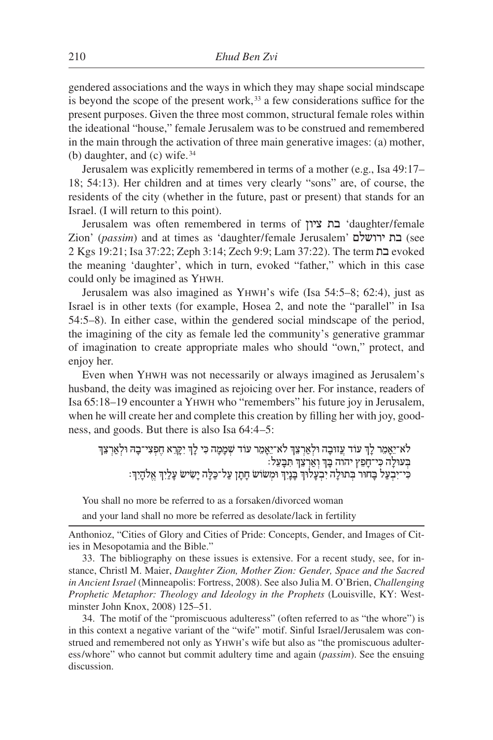gendered associations and the ways in which they may shape social mindscape is beyond the scope of the present work,  $33$  a few considerations suffice for the present purposes. Given the three most common, structural female roles within the ideational "house," female Jerusalem was to be construed and remembered in the main through the activation of three main generative images: (a) mother, (b) daughter, and (c) wife.  $34$ 

Jerusalem was explicitly remembered in terms of a mother (e.g., Isa 49:17– 18; 54:13). Her children and at times very clearly "sons" are, of course, the residents of the city (whether in the future, past or present) that stands for an Israel. (I will return to this point).

Jerusalem was often remembered in terms of ציון בת' daughter/female Zion' (*passim*) and at times as 'daughter/female Jerusalem' ירושלם בת) see 2 Kgs 19:21; Isa 37:22; Zeph 3:14; Zech 9:9; Lam 37:22). The term בת evoked the meaning 'daughter', which in turn, evoked "father," which in this case could only be imagined as Yhwh.

Jerusalem was also imagined as Yhwh's wife (Isa 54:5–8; 62:4), just as Israel is in other texts (for example, Hosea 2, and note the "parallel" in Isa 54:5–8). In either case, within the gendered social mindscape of the period, the imagining of the city as female led the community's generative grammar of imagination to create appropriate males who should "own," protect, and enjoy her.

Even when Yhwh was not necessarily or always imagined as Jerusalem's husband, the deity was imagined as rejoicing over her. For instance, readers of Isa 65:18–19 encounter a Yhwh who "remembers" his future joy in Jerusalem, when he will create her and complete this creation by filling her with joy, goodness, and goods. But there is also Isa 64:4–5:

ְ ְלֹא־יֵאָמֵר לָךְ עוֹד עֲזוּבָה וּלְאַרְצֵךְ לֹא־יֵאָמֵר עוֹד שְׁמָמָה כִּי לָךְ יִקָרֵא חֶפְצִי־בָה וּלְאַרְצֵךְ<br>בִעוּלַה כִּי־חָפֵץ יהוה בַּךְ וְאַרְצֵךְ תִּבְעֵל: .<br>כִּי־יִבְעַל בָחוּר בְתוּלָה יִבְעָלוּךְ בָנֵיִךְ וּמְשׂוֹש חָתָן עַל־כַּלָּה יָשִׂיש עָלַיִךְ אֵלֹהָיִךְ: ְ

You shall no more be referred to as a forsaken/divorced woman and your land shall no more be referred as desolate/lack in fertility

Anthonioz, "Cities of Glory and Cities of Pride: Concepts, Gender, and Images of Cities in Mesopotamia and the Bible."

33. The bibliography on these issues is extensive. For a recent study, see, for instance, Christl M. Maier, *Daughter Zion, Mother Zion: Gender, Space and the Sacred in Ancient Israel* (Minneapolis: Fortress, 2008). See also Julia M. O'Brien, *Challenging Prophetic Metaphor: Theology and Ideology in the Prophets* (Louisville, KY: Westminster John Knox, 2008) 125–51.

34. The motif of the "promiscuous adulteress" (often referred to as "the whore") is in this context a negative variant of the "wife" motif. Sinful Israel/Jerusalem was construed and remembered not only as Yhwh's wife but also as "the promiscuous adulteress/whore" who cannot but commit adultery time and again (*passim*). See the ensuing discussion.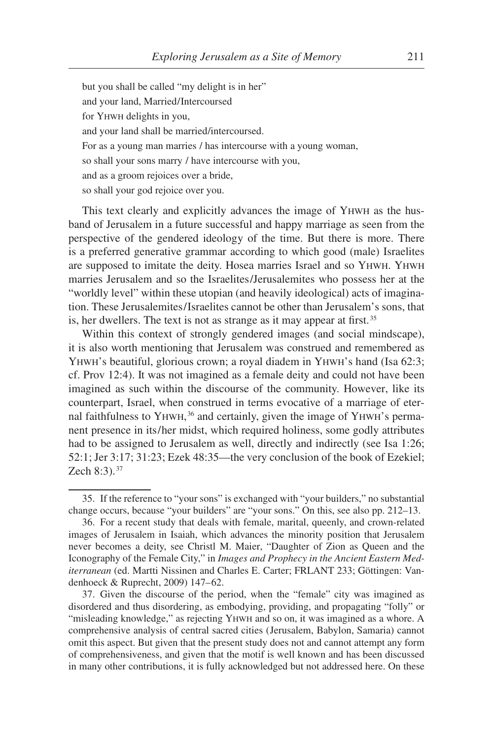but you shall be called "my delight is in her" and your land, Married/Intercoursed for Yhwh delights in you, and your land shall be married/intercoursed. For as a young man marries / has intercourse with a young woman, so shall your sons marry / have intercourse with you, and as a groom rejoices over a bride, so shall your god rejoice over you.

This text clearly and explicitly advances the image of YHWH as the husband of Jerusalem in a future successful and happy marriage as seen from the perspective of the gendered ideology of the time. But there is more. There is a preferred generative grammar according to which good (male) Israelites are supposed to imitate the deity. Hosea marries Israel and so Yhwh. Yhwh marries Jerusalem and so the Israelites/Jerusalemites who possess her at the "worldly level" within these utopian (and heavily ideological) acts of imagination. These Jerusalemites/Israelites cannot be other than Jerusalem's sons, that is, her dwellers. The text is not as strange as it may appear at first.<sup>35</sup>

Within this context of strongly gendered images (and social mindscape), it is also worth mentioning that Jerusalem was construed and remembered as Yhwh's beautiful, glorious crown; a royal diadem in Yhwh's hand (Isa 62:3; cf. Prov 12:4). It was not imagined as a female deity and could not have been imagined as such within the discourse of the community. However, like its counterpart, Israel, when construed in terms evocative of a marriage of eternal faithfulness to YHWH,<sup>36</sup> and certainly, given the image of YHWH's permanent presence in its/her midst, which required holiness, some godly attributes had to be assigned to Jerusalem as well, directly and indirectly (see Isa 1:26; 52:1; Jer 3:17; 31:23; Ezek 48:35—the very conclusion of the book of Ezekiel; Zech  $8:3$ ).  $37$ 

<sup>35.</sup> If the reference to "your sons" is exchanged with "your builders," no substantial change occurs, because "your builders" are "your sons." On this, see also pp. 212–13.

<sup>36.</sup> For a recent study that deals with female, marital, queenly, and crown-related images of Jerusalem in Isaiah, which advances the minority position that Jerusalem never becomes a deity, see Christl M. Maier, "Daughter of Zion as Queen and the Iconography of the Female City," in *Images and Prophecy in the Ancient Eastern Mediterranean* (ed. Martti Nissinen and Charles E. Carter; FRLANT 233; Göttingen: Vandenhoeck & Ruprecht, 2009) 147–62.

<sup>37.</sup> Given the discourse of the period, when the "female" city was imagined as disordered and thus disordering, as embodying, providing, and propagating "folly" or "misleading knowledge," as rejecting Yhwh and so on, it was imagined as a whore. A comprehensive analysis of central sacred cities (Jerusalem, Babylon, Samaria) cannot omit this aspect. But given that the present study does not and cannot attempt any form of comprehensiveness, and given that the motif is well known and has been discussed in many other contributions, it is fully acknowledged but not addressed here. On these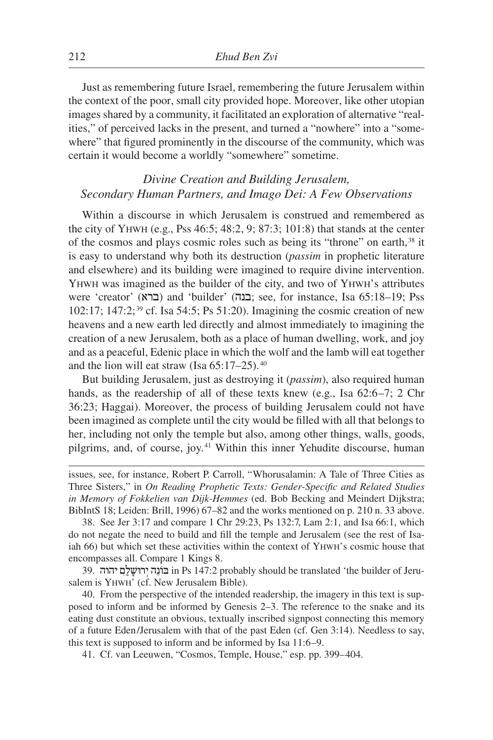Just as remembering future Israel, remembering the future Jerusalem within the context of the poor, small city provided hope. Moreover, like other utopian images shared by a community, it facilitated an exploration of alternative "realities," of perceived lacks in the present, and turned a "nowhere" into a "somewhere" that figured prominently in the discourse of the community, which was certain it would become a worldly "somewhere" sometime.

# *Divine Creation and Building Jerusalem, Secondary Human Partners, and Imago Dei: A Few Observations*

Within a discourse in which Jerusalem is construed and remembered as the city of Yhwh (e.g., Pss 46:5; 48:2, 9; 87:3; 101:8) that stands at the center of the cosmos and plays cosmic roles such as being its "throne" on earth,<sup>38</sup> it is easy to understand why both its destruction (*passim* in prophetic literature and elsewhere) and its building were imagined to require divine intervention. Yhwh was imagined as the builder of the city, and two of Yhwh's attributes were 'creator' (ברא) and 'builder' (בנה; see, for instance, Isa 65:18-19; Pss 102:17; 147:2;39 cf. Isa 54:5; Ps 51:20). Imagining the cosmic creation of new heavens and a new earth led directly and almost immediately to imagining the creation of a new Jerusalem, both as a place of human dwelling, work, and joy and as a peaceful, Edenic place in which the wolf and the lamb will eat together and the lion will eat straw (Isa  $65:17-25$ ).  $40$ 

But building Jerusalem, just as destroying it (*passim*), also required human hands, as the readership of all of these texts knew (e.g., Isa 62:6–7; 2 Chr 36:23; Haggai). Moreover, the process of building Jerusalem could not have been imagined as complete until the city would be filled with all that belongs to her, including not only the temple but also, among other things, walls, goods, pilgrims, and, of course, joy. 41 Within this inner Yehudite discourse, human

38. See Jer 3:17 and compare 1 Chr 29:23, Ps 132:7, Lam 2:1, and Isa 66:1, which do not negate the need to build and fill the temple and Jerusalem (see the rest of Isaiah 66) but which set these activities within the context of Yhwh's cosmic house that encompasses all. Compare 1 Kings 8.

39. יהוה ִםַלָשׁוּרְי הֵונֹבּ in Ps 147:2 probably should be translated 'the builder of Jerusalem is Yhwh' (cf. New Jerusalem Bible).

40. From the perspective of the intended readership, the imagery in this text is supposed to inform and be informed by Genesis 2–3. The reference to the snake and its eating dust constitute an obvious, textually inscribed signpost connecting this memory of a future Eden/Jerusalem with that of the past Eden (cf. Gen 3:14). Needless to say, this text is supposed to inform and be informed by Isa 11:6–9.

41. Cf. van Leeuwen, "Cosmos, Temple, House," esp. pp. 399–404.

issues, see, for instance, Robert P. Carroll, "Whorusalamin: A Tale of Three Cities as Three Sisters," in *On Reading Prophetic Texts: Gender-Specific and Related Studies in Memory of Fokkelien van Dijk-Hemmes* (ed. Bob Becking and Meindert Dijkstra; BibIntS 18; Leiden: Brill, 1996) 67–82 and the works mentioned on p. 210 n. 33 above.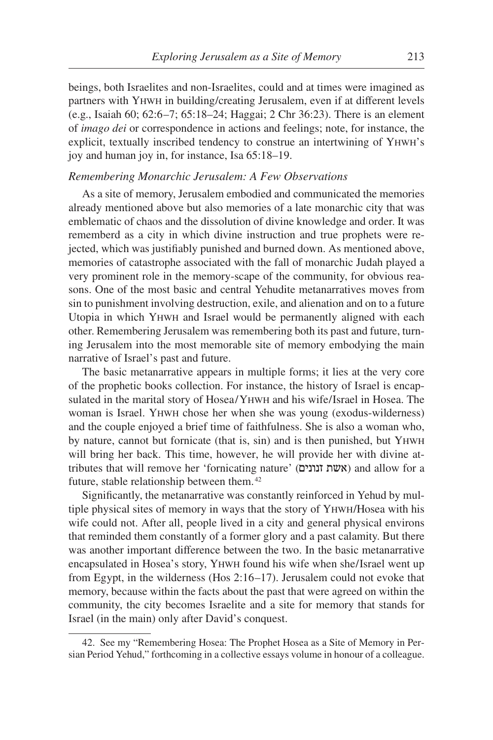beings, both Israelites and non-Israelites, could and at times were imagined as partners with Yhwh in building/creating Jerusalem, even if at different levels (e.g., Isaiah 60; 62:6–7; 65:18–24; Haggai; 2 Chr 36:23). There is an element of *imago dei* or correspondence in actions and feelings; note, for instance, the explicit, textually inscribed tendency to construe an intertwining of Yhwh's joy and human joy in, for instance, Isa 65:18–19.

#### *Remembering Monarchic Jerusalem: A Few Observations*

As a site of memory, Jerusalem embodied and communicated the memories already mentioned above but also memories of a late monarchic city that was emblematic of chaos and the dissolution of divine knowledge and order. It was rememberd as a city in which divine instruction and true prophets were rejected, which was justifiably punished and burned down. As mentioned above, memories of catastrophe associated with the fall of monarchic Judah played a very prominent role in the memory-scape of the community, for obvious reasons. One of the most basic and central Yehudite metanarratives moves from sin to punishment involving destruction, exile, and alienation and on to a future Utopia in which Yhwh and Israel would be permanently aligned with each other. Remembering Jerusalem was remembering both its past and future, turning Jerusalem into the most memorable site of memory embodying the main narrative of Israel's past and future.

The basic metanarrative appears in multiple forms; it lies at the very core of the prophetic books collection. For instance, the history of Israel is encapsulated in the marital story of Hosea/Yhwh and his wife/Israel in Hosea. The woman is Israel. Yhwh chose her when she was young (exodus-wilderness) and the couple enjoyed a brief time of faithfulness. She is also a woman who, by nature, cannot but fornicate (that is, sin) and is then punished, but Yhwh will bring her back. This time, however, he will provide her with divine attributes that will remove her 'fornicating nature' (אשת זנונים) and allow for a future, stable relationship between them.<sup>42</sup>

Significantly, the metanarrative was constantly reinforced in Yehud by multiple physical sites of memory in ways that the story of Yhwh/Hosea with his wife could not. After all, people lived in a city and general physical environs that reminded them constantly of a former glory and a past calamity. But there was another important difference between the two. In the basic metanarrative encapsulated in Hosea's story, Yhwh found his wife when she/Israel went up from Egypt, in the wilderness (Hos 2:16–17). Jerusalem could not evoke that memory, because within the facts about the past that were agreed on within the community, the city becomes Israelite and a site for memory that stands for Israel (in the main) only after David's conquest.

<sup>42.</sup> See my "Remembering Hosea: The Prophet Hosea as a Site of Memory in Persian Period Yehud," forthcoming in a collective essays volume in honour of a colleague.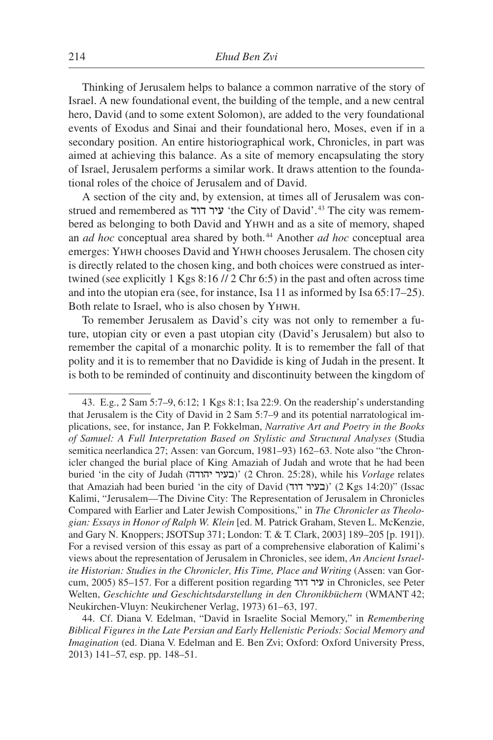Thinking of Jerusalem helps to balance a common narrative of the story of Israel. A new foundational event, the building of the temple, and a new central hero, David (and to some extent Solomon), are added to the very foundational events of Exodus and Sinai and their foundational hero, Moses, even if in a secondary position. An entire historiographical work, Chronicles, in part was aimed at achieving this balance. As a site of memory encapsulating the story of Israel, Jerusalem performs a similar work. It draws attention to the foundational roles of the choice of Jerusalem and of David.

A section of the city and, by extension, at times all of Jerusalem was construed and remembered as דוד עיר' the City of David'.43 The city was remembered as belonging to both David and Yhwh and as a site of memory, shaped an *ad hoc* conceptual area shared by both. 44 Another *ad hoc* conceptual area emerges: Yhwh chooses David and Yhwh chooses Jerusalem. The chosen city is directly related to the chosen king, and both choices were construed as intertwined (see explicitly 1 Kgs 8:16 // 2 Chr 6:5) in the past and often across time and into the utopian era (see, for instance, Isa 11 as informed by Isa 65:17–25). Both relate to Israel, who is also chosen by Yhwh.

To remember Jerusalem as David's city was not only to remember a future, utopian city or even a past utopian city (David's Jerusalem) but also to remember the capital of a monarchic polity. It is to remember the fall of that polity and it is to remember that no Davidide is king of Judah in the present. It is both to be reminded of continuity and discontinuity between the kingdom of

<sup>43.</sup> E.g., 2 Sam 5:7–9, 6:12; 1 Kgs 8:1; Isa 22:9. On the readership's understanding that Jerusalem is the City of David in 2 Sam 5:7–9 and its potential narratological implications, see, for instance, Jan P. Fokkelman, *Narrative Art and Poetry in the Books of Samuel: A Full Interpretation Based on Stylistic and Structural Analyses* (Studia semitica neerlandica 27; Assen: van Gorcum, 1981–93) 162–63. Note also "the Chronicler changed the burial place of King Amaziah of Judah and wrote that he had been buried 'in the city of Judah (יהודה בעיר) '(2 Chron. 25:28), while his *Vorlage* relates that Amaziah had been buried 'in the city of David (דוד בעיר) '(2 Kgs 14:20)" (Issac Kalimi, "Jerusalem—The Divine City: The Representation of Jerusalem in Chronicles Compared with Earlier and Later Jewish Compositions," in *The Chronicler as Theologian: Essays in Honor of Ralph W. Klein* [ed. M. Patrick Graham, Steven L. McKenzie, and Gary N. Knoppers; JSOTSup 371; London: T. & T. Clark, 2003] 189–205 [p. 191]). For a revised version of this essay as part of a comprehensive elaboration of Kalimi's views about the representation of Jerusalem in Chronicles, see idem, *An Ancient Israelite Historian: Studies in the Chronicler, His Time, Place and Writing* (Assen: van Gorcum, 2005) 85–157. For a different position regarding דוד עיר in Chronicles, see Peter Welten, *Geschichte und Geschichtsdarstellung in den Chronikbüchern* (WMANT 42; Neukirchen-Vluyn: Neukirchener Verlag, 1973) 61–63, 197.

<sup>44.</sup> Cf. Diana V. Edelman, "David in Israelite Social Memory," in *Remembering Biblical Figures in the Late Persian and Early Hellenistic Periods: Social Memory and Imagination* (ed. Diana V. Edelman and E. Ben Zvi; Oxford: Oxford University Press, 2013) 141–57, esp. pp. 148–51.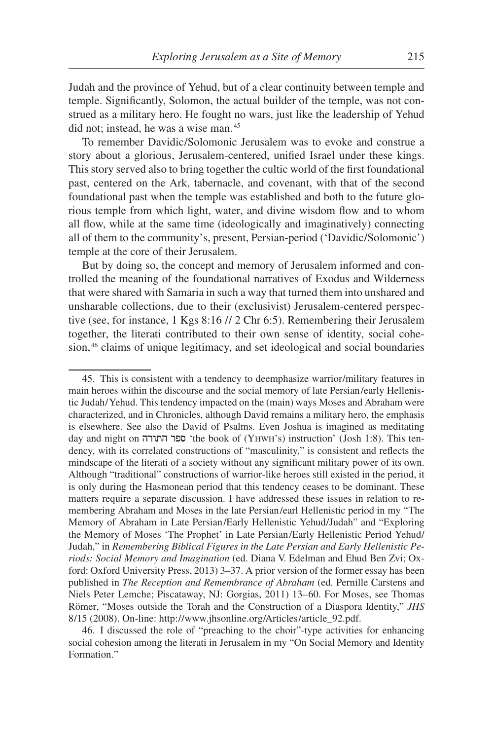Judah and the province of Yehud, but of a clear continuity between temple and temple. Significantly, Solomon, the actual builder of the temple, was not construed as a military hero. He fought no wars, just like the leadership of Yehud did not; instead, he was a wise man.<sup>45</sup>

To remember Davidic/Solomonic Jerusalem was to evoke and construe a story about a glorious, Jerusalem-centered, unified Israel under these kings. This story served also to bring together the cultic world of the first foundational past, centered on the Ark, tabernacle, and covenant, with that of the second foundational past when the temple was established and both to the future glorious temple from which light, water, and divine wisdom flow and to whom all flow, while at the same time (ideologically and imaginatively) connecting all of them to the community's, present, Persian-period ('Davidic/Solomonic') temple at the core of their Jerusalem.

But by doing so, the concept and memory of Jerusalem informed and controlled the meaning of the foundational narratives of Exodus and Wilderness that were shared with Samaria in such a way that turned them into unshared and unsharable collections, due to their (exclusivist) Jerusalem-centered perspective (see, for instance, 1 Kgs 8:16 // 2 Chr 6:5). Remembering their Jerusalem together, the literati contributed to their own sense of identity, social cohesion,<sup>46</sup> claims of unique legitimacy, and set ideological and social boundaries

46. I discussed the role of "preaching to the choir"-type activities for enhancing social cohesion among the literati in Jerusalem in my "On Social Memory and Identity Formation."

<sup>45.</sup> This is consistent with a tendency to deemphasize warrior/military features in main heroes within the discourse and the social memory of late Persian/early Hellenistic Judah/Yehud. This tendency impacted on the (main) ways Moses and Abraham were characterized, and in Chronicles, although David remains a military hero, the emphasis is elsewhere. See also the David of Psalms. Even Joshua is imagined as meditating day and night on התורה טפר התורה 'the book of (YHWH's) instruction' (Josh 1:8). This tendency, with its correlated constructions of "masculinity," is consistent and reflects the mindscape of the literati of a society without any significant military power of its own. Although "traditional" constructions of warrior-like heroes still existed in the period, it is only during the Hasmonean period that this tendency ceases to be dominant. These matters require a separate discussion. I have addressed these issues in relation to remembering Abraham and Moses in the late Persian/earl Hellenistic period in my "The Memory of Abraham in Late Persian/Early Hellenistic Yehud/Judah" and "Exploring the Memory of Moses 'The Prophet' in Late Persian/Early Hellenistic Period Yehud/ Judah," in *Remembering Biblical Figures in the Late Persian and Early Hellenistic Periods: Social Memory and Imagination* (ed. Diana V. Edelman and Ehud Ben Zvi; Oxford: Oxford University Press, 2013) 3–37. A prior version of the former essay has been published in *The Reception and Remembrance of Abraham* (ed. Pernille Carstens and Niels Peter Lemche; Piscataway, NJ: Gorgias, 2011) 13–60. For Moses, see Thomas Römer, "Moses outside the Torah and the Construction of a Diaspora Identity," *JHS*  8/15 (2008). On-line: http://www.jhsonline.org/Articles/article\_92.pdf.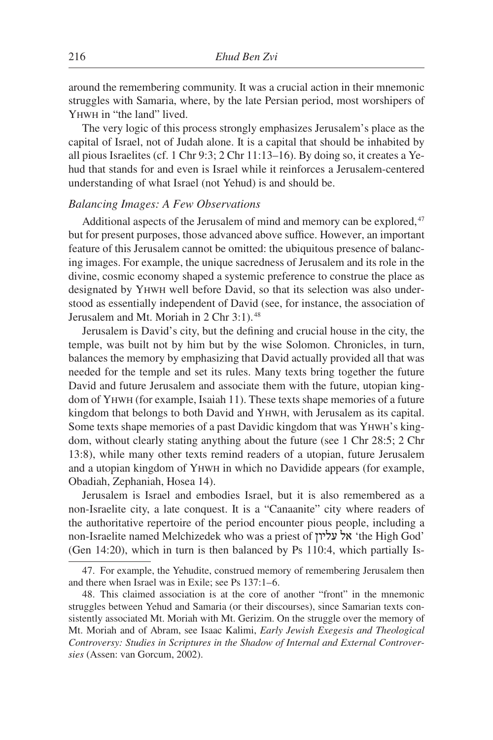around the remembering community. It was a crucial action in their mnemonic struggles with Samaria, where, by the late Persian period, most worshipers of Yhwh in "the land" lived.

The very logic of this process strongly emphasizes Jerusalem's place as the capital of Israel, not of Judah alone. It is a capital that should be inhabited by all pious Israelites (cf. 1 Chr 9:3; 2 Chr 11:13–16). By doing so, it creates a Yehud that stands for and even is Israel while it reinforces a Jerusalem-centered understanding of what Israel (not Yehud) is and should be.

#### *Balancing Images: A Few Observations*

Additional aspects of the Jerusalem of mind and memory can be explored, <sup>47</sup> but for present purposes, those advanced above suffice. However, an important feature of this Jerusalem cannot be omitted: the ubiquitous presence of balancing images. For example, the unique sacredness of Jerusalem and its role in the divine, cosmic economy shaped a systemic preference to construe the place as designated by Yhwh well before David, so that its selection was also understood as essentially independent of David (see, for instance, the association of Jerusalem and Mt. Moriah in 2 Chr 3:1). <sup>48</sup>

Jerusalem is David's city, but the defining and crucial house in the city, the temple, was built not by him but by the wise Solomon. Chronicles, in turn, balances the memory by emphasizing that David actually provided all that was needed for the temple and set its rules. Many texts bring together the future David and future Jerusalem and associate them with the future, utopian kingdom of Yhwh (for example, Isaiah 11). These texts shape memories of a future kingdom that belongs to both David and Yhwh, with Jerusalem as its capital. Some texts shape memories of a past Davidic kingdom that was Yhwh's kingdom, without clearly stating anything about the future (see 1 Chr 28:5; 2 Chr 13:8), while many other texts remind readers of a utopian, future Jerusalem and a utopian kingdom of Yhwh in which no Davidide appears (for example, Obadiah, Zephaniah, Hosea 14).

Jerusalem is Israel and embodies Israel, but it is also remembered as a non-Israelite city, a late conquest. It is a "Canaanite" city where readers of the authoritative repertoire of the period encounter pious people, including a non-Israelite named Melchizedek who was a priest of עליון אל' the High God' (Gen 14:20), which in turn is then balanced by Ps 110:4, which partially Is-

<sup>47.</sup> For example, the Yehudite, construed memory of remembering Jerusalem then and there when Israel was in Exile; see Ps 137:1–6.

<sup>48.</sup> This claimed association is at the core of another "front" in the mnemonic struggles between Yehud and Samaria (or their discourses), since Samarian texts consistently associated Mt. Moriah with Mt. Gerizim. On the struggle over the memory of Mt. Moriah and of Abram, see Isaac Kalimi, *Early Jewish Exegesis and Theological Controversy: Studies in Scriptures in the Shadow of Internal and External Controversies* (Assen: van Gorcum, 2002).